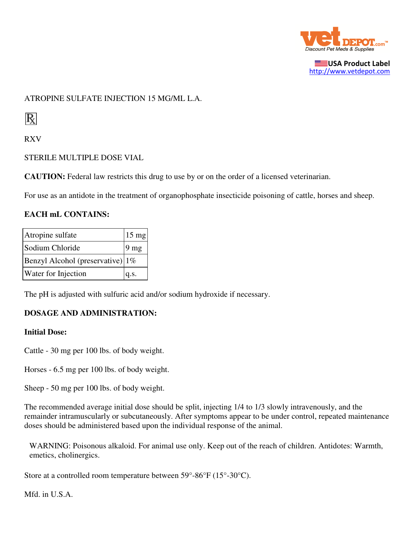

USA Product Label http://www.vetdepot.com

## ATROPINE SULFATE INJECTION 15 MG/ML L.A.

 $\rm R$ 

RXV

STERILE MULTIPLE DOSE VIAL

**CAUTION:** Federal law restricts this drug to use by or on the order of a licensed veterinarian.

For use as an antidote in the treatment of organophosphate insecticide poisoning of cattle, horses and sheep.

### **EACH mL CONTAINS:**

| Atropine sulfate                     | $15 \text{ mg}$ |
|--------------------------------------|-----------------|
| Sodium Chloride                      | 9 <sub>mg</sub> |
| Benzyl Alcohol (preservative) $ 1\%$ |                 |
| Water for Injection                  | q.s.            |

The pH is adjusted with sulfuric acid and/or sodium hydroxide if necessary.

## **DOSAGE AND ADMINISTRATION:**

#### **Initial Dose:**

Cattle - 30 mg per 100 lbs. of body weight.

Horses - 6.5 mg per 100 lbs. of body weight.

Sheep - 50 mg per 100 lbs. of body weight.

The recommended average initial dose should be split, injecting 1/4 to 1/3 slowly intravenously, and the remainder intramuscularly or subcutaneously. After symptoms appear to be under control, repeated maintenance doses should be administered based upon the individual response of the animal.

WARNING: Poisonous alkaloid. For animal use only. Keep out of the reach of children. Antidotes: Warmth, emetics, cholinergics.

Store at a controlled room temperature between 59°-86°F (15°-30°C).

Mfd. in U.S.A.